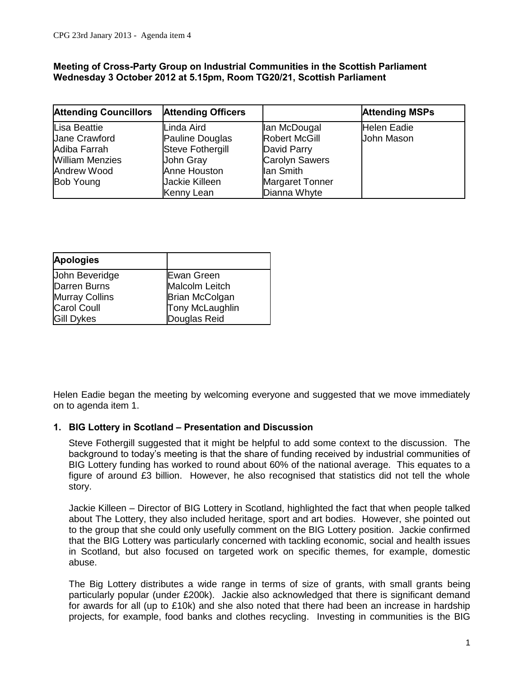#### **Meeting of Cross-Party Group on lndustrial Communities in the Scottish Parliament Wednesday 3 October 2012 at 5.15pm, Room TG20/21, Scottish Parliament**

| <b>Attending Councillors</b> | <b>Attending Officers</b> |                        | <b>Attending MSPs</b> |
|------------------------------|---------------------------|------------------------|-----------------------|
| Lisa Beattie                 | Linda Aird                | lan McDougal           | <b>Helen Eadie</b>    |
| <b>Jane Crawford</b>         | Pauline Douglas           | <b>Robert McGill</b>   | John Mason            |
| Adiba Farrah                 | <b>Steve Fothergill</b>   | David Parry            |                       |
| <b>William Menzies</b>       | John Gray                 | <b>Carolyn Sawers</b>  |                       |
| Andrew Wood                  | Anne Houston              | lan Smith              |                       |
| <b>Bob Young</b>             | Jackie Killeen            | <b>Margaret Tonner</b> |                       |
|                              | Kenny Lean                | Dianna Whyte           |                       |

| <b>Apologies</b>      |                       |
|-----------------------|-----------------------|
| <b>John Beveridge</b> | Ewan Green            |
| Darren Burns          | Malcolm Leitch        |
| <b>Murray Collins</b> | <b>Brian McColgan</b> |
| <b>Carol Coull</b>    | Tony McLaughlin       |
| <b>Gill Dykes</b>     | Douglas Reid          |

Helen Eadie began the meeting by welcoming everyone and suggested that we move immediately on to agenda item 1.

### **1. BIG Lottery in Scotland – Presentation and Discussion**

Steve Fothergill suggested that it might be helpful to add some context to the discussion. The background to today's meeting is that the share of funding received by industrial communities of BIG Lottery funding has worked to round about 60% of the national average. This equates to a figure of around £3 billion. However, he also recognised that statistics did not tell the whole story.

Jackie Killeen – Director of BIG Lottery in Scotland, highlighted the fact that when people talked about The Lottery, they also included heritage, sport and art bodies. However, she pointed out to the group that she could only usefully comment on the BIG Lottery position. Jackie confirmed that the BIG Lottery was particularly concerned with tackling economic, social and health issues in Scotland, but also focused on targeted work on specific themes, for example, domestic abuse.

The Big Lottery distributes a wide range in terms of size of grants, with small grants being particularly popular (under £200k). Jackie also acknowledged that there is significant demand for awards for all (up to £10k) and she also noted that there had been an increase in hardship projects, for example, food banks and clothes recycling. Investing in communities is the BIG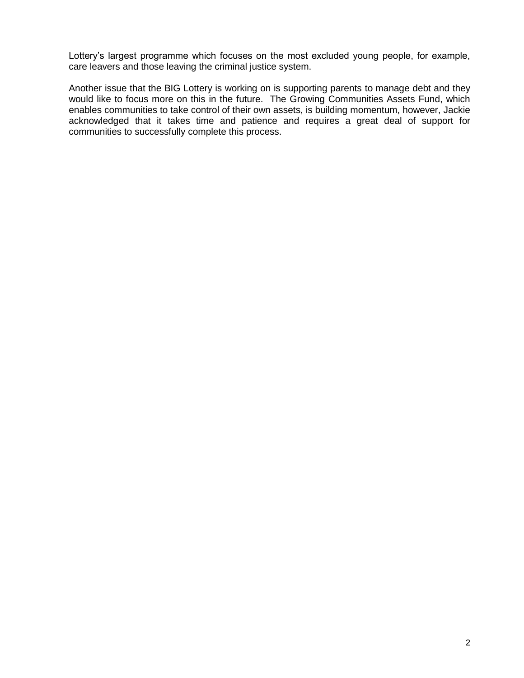Lottery's largest programme which focuses on the most excluded young people, for example, care leavers and those leaving the criminal justice system.

Another issue that the BIG Lottery is working on is supporting parents to manage debt and they would like to focus more on this in the future. The Growing Communities Assets Fund, which enables communities to take control of their own assets, is building momentum, however, Jackie acknowledged that it takes time and patience and requires a great deal of support for communities to successfully complete this process.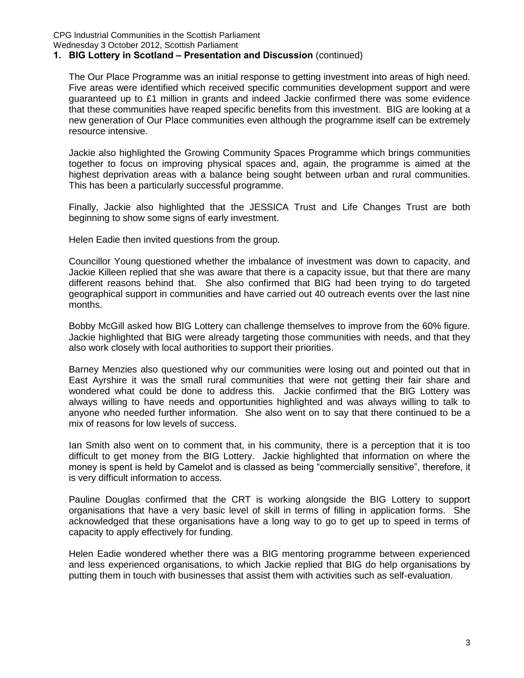CPG lndustrial Communities in the Scottish Parliament Wednesday 3 October 2012, Scottish Parliament

### **1. BIG Lottery in Scotland – Presentation and Discussion** (continued)

The Our Place Programme was an initial response to getting investment into areas of high need. Five areas were identified which received specific communities development support and were guaranteed up to £1 million in grants and indeed Jackie confirmed there was some evidence that these communities have reaped specific benefits from this investment. BIG are looking at a new generation of Our Place communities even although the programme itself can be extremely resource intensive.

Jackie also highlighted the Growing Community Spaces Programme which brings communities together to focus on improving physical spaces and, again, the programme is aimed at the highest deprivation areas with a balance being sought between urban and rural communities. This has been a particularly successful programme.

Finally, Jackie also highlighted that the JESSICA Trust and Life Changes Trust are both beginning to show some signs of early investment.

Helen Eadie then invited questions from the group.

Councillor Young questioned whether the imbalance of investment was down to capacity, and Jackie Killeen replied that she was aware that there is a capacity issue, but that there are many different reasons behind that. She also confirmed that BIG had been trying to do targeted geographical support in communities and have carried out 40 outreach events over the last nine months.

Bobby McGill asked how BIG Lottery can challenge themselves to improve from the 60% figure. Jackie highlighted that BIG were already targeting those communities with needs, and that they also work closely with local authorities to support their priorities.

Barney Menzies also questioned why our communities were losing out and pointed out that in East Ayrshire it was the small rural communities that were not getting their fair share and wondered what could be done to address this. Jackie confirmed that the BIG Lottery was always willing to have needs and opportunities highlighted and was always willing to talk to anyone who needed further information. She also went on to say that there continued to be a mix of reasons for low levels of success.

Ian Smith also went on to comment that, in his community, there is a perception that it is too difficult to get money from the BIG Lottery. Jackie highlighted that information on where the money is spent is held by Camelot and is classed as being "commercially sensitive", therefore, it is very difficult information to access.

Pauline Douglas confirmed that the CRT is working alongside the BIG Lottery to support organisations that have a very basic level of skill in terms of filling in application forms. She acknowledged that these organisations have a long way to go to get up to speed in terms of capacity to apply effectively for funding.

Helen Eadie wondered whether there was a BIG mentoring programme between experienced and less experienced organisations, to which Jackie replied that BIG do help organisations by putting them in touch with businesses that assist them with activities such as self-evaluation.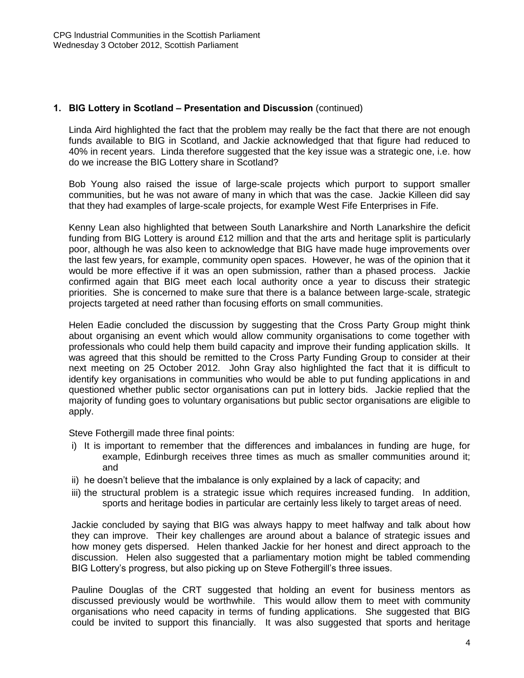### **1. BIG Lottery in Scotland – Presentation and Discussion** (continued)

Linda Aird highlighted the fact that the problem may really be the fact that there are not enough funds available to BIG in Scotland, and Jackie acknowledged that that figure had reduced to 40% in recent years. Linda therefore suggested that the key issue was a strategic one, i.e. how do we increase the BIG Lottery share in Scotland?

Bob Young also raised the issue of large-scale projects which purport to support smaller communities, but he was not aware of many in which that was the case. Jackie Killeen did say that they had examples of large-scale projects, for example West Fife Enterprises in Fife.

Kenny Lean also highlighted that between South Lanarkshire and North Lanarkshire the deficit funding from BIG Lottery is around £12 million and that the arts and heritage split is particularly poor, although he was also keen to acknowledge that BIG have made huge improvements over the last few years, for example, community open spaces. However, he was of the opinion that it would be more effective if it was an open submission, rather than a phased process. Jackie confirmed again that BIG meet each local authority once a year to discuss their strategic priorities. She is concerned to make sure that there is a balance between large-scale, strategic projects targeted at need rather than focusing efforts on small communities.

Helen Eadie concluded the discussion by suggesting that the Cross Party Group might think about organising an event which would allow community organisations to come together with professionals who could help them build capacity and improve their funding application skills. It was agreed that this should be remitted to the Cross Party Funding Group to consider at their next meeting on 25 October 2012. John Gray also highlighted the fact that it is difficult to identify key organisations in communities who would be able to put funding applications in and questioned whether public sector organisations can put in lottery bids. Jackie replied that the majority of funding goes to voluntary organisations but public sector organisations are eligible to apply.

Steve Fothergill made three final points:

- i) It is important to remember that the differences and imbalances in funding are huge, for example, Edinburgh receives three times as much as smaller communities around it; and
- ii) he doesn't believe that the imbalance is only explained by a lack of capacity; and
- iii) the structural problem is a strategic issue which requires increased funding. In addition, sports and heritage bodies in particular are certainly less likely to target areas of need.

Jackie concluded by saying that BIG was always happy to meet halfway and talk about how they can improve. Their key challenges are around about a balance of strategic issues and how money gets dispersed. Helen thanked Jackie for her honest and direct approach to the discussion. Helen also suggested that a parliamentary motion might be tabled commending BIG Lottery's progress, but also picking up on Steve Fothergill's three issues.

Pauline Douglas of the CRT suggested that holding an event for business mentors as discussed previously would be worthwhile. This would allow them to meet with community organisations who need capacity in terms of funding applications. She suggested that BIG could be invited to support this financially. It was also suggested that sports and heritage